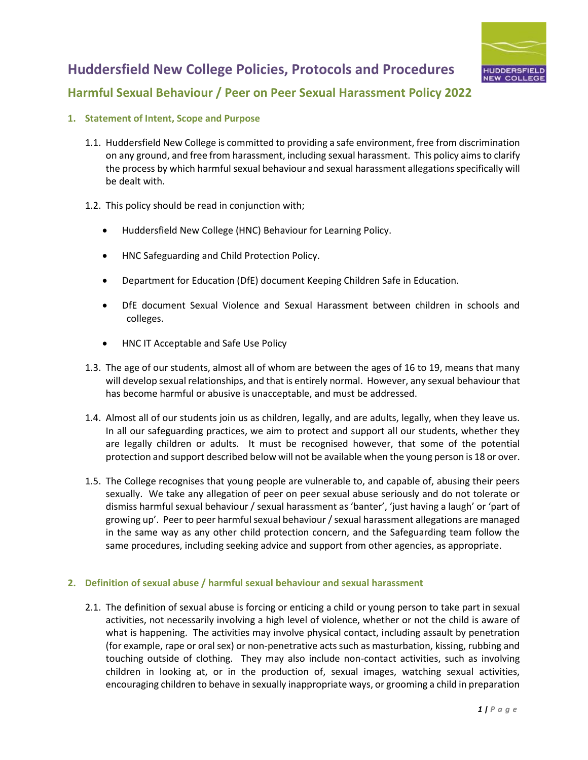

### **Harmful Sexual Behaviour / Peer on Peer Sexual Harassment Policy 2022**

- **1. Statement of Intent, Scope and Purpose**
	- 1.1. Huddersfield New College is committed to providing a safe environment, free from discrimination on any ground, and free from harassment, including sexual harassment. This policy aims to clarify the process by which harmful sexual behaviour and sexual harassment allegations specifically will be dealt with.
	- 1.2. This policy should be read in conjunction with;
		- Huddersfield New College (HNC) Behaviour for Learning Policy.
		- HNC Safeguarding and Child Protection Policy.
		- Department for Education (DfE) document Keeping Children Safe in Education.
		- DfE document Sexual Violence and Sexual Harassment between children in schools and colleges.
		- HNC IT Acceptable and Safe Use Policy
	- 1.3. The age of our students, almost all of whom are between the ages of 16 to 19, means that many will develop sexual relationships, and that is entirely normal. However, any sexual behaviour that has become harmful or abusive is unacceptable, and must be addressed.
	- 1.4. Almost all of our students join us as children, legally, and are adults, legally, when they leave us. In all our safeguarding practices, we aim to protect and support all our students, whether they are legally children or adults. It must be recognised however, that some of the potential protection and support described below will not be available when the young person is 18 or over.
	- 1.5. The College recognises that young people are vulnerable to, and capable of, abusing their peers sexually. We take any allegation of peer on peer sexual abuse seriously and do not tolerate or dismiss harmful sexual behaviour / sexual harassment as 'banter', 'just having a laugh' or 'part of growing up'. Peer to peer harmful sexual behaviour / sexual harassment allegations are managed in the same way as any other child protection concern, and the Safeguarding team follow the same procedures, including seeking advice and support from other agencies, as appropriate.

#### **2. Definition of sexual abuse / harmful sexual behaviour and sexual harassment**

2.1. The definition of sexual abuse is forcing or enticing a child or young person to take part in sexual activities, not necessarily involving a high level of violence, whether or not the child is aware of what is happening. The activities may involve physical contact, including assault by penetration (for example, rape or oral sex) or non-penetrative acts such as masturbation, kissing, rubbing and touching outside of clothing. They may also include non-contact activities, such as involving children in looking at, or in the production of, sexual images, watching sexual activities, encouraging children to behave in sexually inappropriate ways, or grooming a child in preparation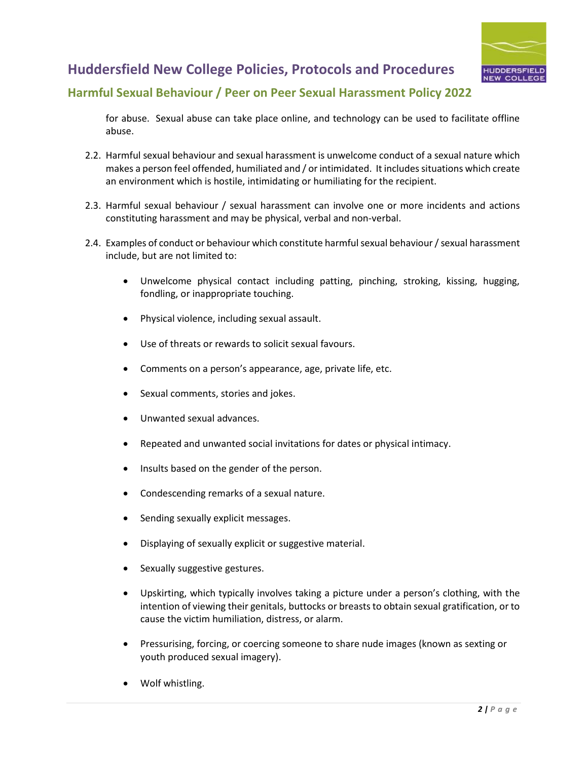

### **Harmful Sexual Behaviour / Peer on Peer Sexual Harassment Policy 2022**

for abuse. Sexual abuse can take place online, and technology can be used to facilitate offline abuse.

- 2.2. Harmful sexual behaviour and sexual harassment is unwelcome conduct of a sexual nature which makes a person feel offended, humiliated and / or intimidated. It includes situations which create an environment which is hostile, intimidating or humiliating for the recipient.
- 2.3. Harmful sexual behaviour / sexual harassment can involve one or more incidents and actions constituting harassment and may be physical, verbal and non-verbal.
- 2.4. Examples of conduct or behaviour which constitute harmful sexual behaviour / sexual harassment include, but are not limited to:
	- Unwelcome physical contact including patting, pinching, stroking, kissing, hugging, fondling, or inappropriate touching.
	- Physical violence, including sexual assault.
	- Use of threats or rewards to solicit sexual favours.
	- Comments on a person's appearance, age, private life, etc.
	- Sexual comments, stories and jokes.
	- Unwanted sexual advances.
	- Repeated and unwanted social invitations for dates or physical intimacy.
	- Insults based on the gender of the person.
	- Condescending remarks of a sexual nature.
	- Sending sexually explicit messages.
	- Displaying of sexually explicit or suggestive material.
	- Sexually suggestive gestures.
	- Upskirting, which typically involves taking a picture under a person's clothing, with the intention of viewing their genitals, buttocks or breasts to obtain sexual gratification, or to cause the victim humiliation, distress, or alarm.
	- Pressurising, forcing, or coercing someone to share nude images (known as sexting or youth produced sexual imagery).
	- Wolf whistling.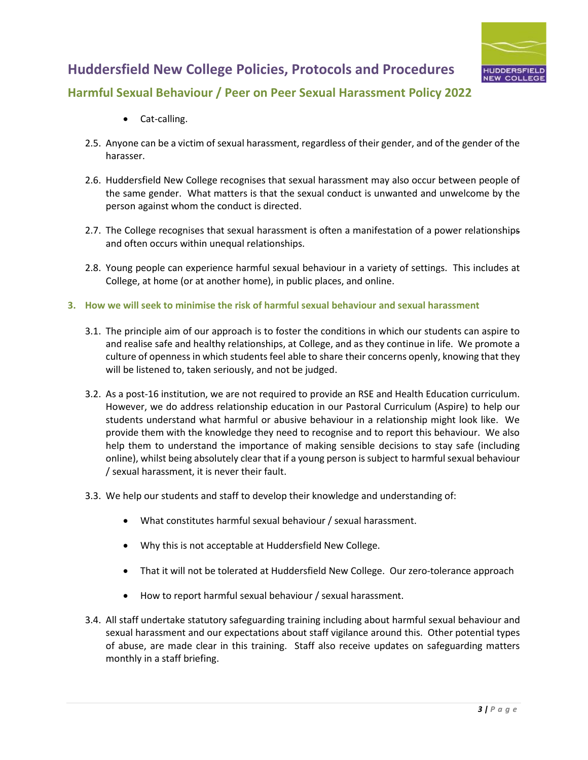

## **Harmful Sexual Behaviour / Peer on Peer Sexual Harassment Policy 2022**

- Cat-calling.
- 2.5. Anyone can be a victim of sexual harassment, regardless of their gender, and of the gender of the harasser.
- 2.6. Huddersfield New College recognises that sexual harassment may also occur between people of the same gender. What matters is that the sexual conduct is unwanted and unwelcome by the person against whom the conduct is directed.
- 2.7. The College recognises that sexual harassment is often a manifestation of a power relationships and often occurs within unequal relationships.
- 2.8. Young people can experience harmful sexual behaviour in a variety of settings. This includes at College, at home (or at another home), in public places, and online.
- **3. How we will seek to minimise the risk of harmful sexual behaviour and sexual harassment**
	- 3.1. The principle aim of our approach is to foster the conditions in which our students can aspire to and realise safe and healthy relationships, at College, and as they continue in life. We promote a culture of openness in which students feel able to share their concerns openly, knowing that they will be listened to, taken seriously, and not be judged.
	- 3.2. As a post-16 institution, we are not required to provide an RSE and Health Education curriculum. However, we do address relationship education in our Pastoral Curriculum (Aspire) to help our students understand what harmful or abusive behaviour in a relationship might look like. We provide them with the knowledge they need to recognise and to report this behaviour. We also help them to understand the importance of making sensible decisions to stay safe (including online), whilst being absolutely clear that if a young person is subject to harmful sexual behaviour / sexual harassment, it is never their fault.
	- 3.3. We help our students and staff to develop their knowledge and understanding of:
		- What constitutes harmful sexual behaviour / sexual harassment.
		- Why this is not acceptable at Huddersfield New College.
		- That it will not be tolerated at Huddersfield New College. Our zero-tolerance approach
		- How to report harmful sexual behaviour / sexual harassment.
	- 3.4. All staff undertake statutory safeguarding training including about harmful sexual behaviour and sexual harassment and our expectations about staff vigilance around this. Other potential types of abuse, are made clear in this training. Staff also receive updates on safeguarding matters monthly in a staff briefing.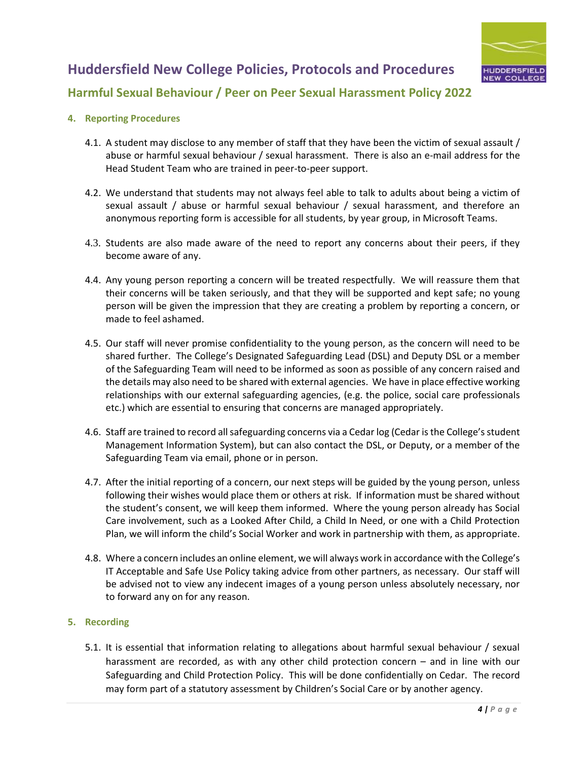### **Harmful Sexual Behaviour / Peer on Peer Sexual Harassment Policy 2022**

#### **4. Reporting Procedures**

- 4.1. A student may disclose to any member of staff that they have been the victim of sexual assault / abuse or harmful sexual behaviour / sexual harassment. There is also an e-mail address for the Head Student Team who are trained in peer-to-peer support.
- 4.2. We understand that students may not always feel able to talk to adults about being a victim of sexual assault / abuse or harmful sexual behaviour / sexual harassment, and therefore an anonymous reporting form is accessible for all students, by year group, in Microsoft Teams.
- 4.3. Students are also made aware of the need to report any concerns about their peers, if they become aware of any.
- 4.4. Any young person reporting a concern will be treated respectfully. We will reassure them that their concerns will be taken seriously, and that they will be supported and kept safe; no young person will be given the impression that they are creating a problem by reporting a concern, or made to feel ashamed.
- 4.5. Our staff will never promise confidentiality to the young person, as the concern will need to be shared further. The College's Designated Safeguarding Lead (DSL) and Deputy DSL or a member of the Safeguarding Team will need to be informed as soon as possible of any concern raised and the details may also need to be shared with external agencies. We have in place effective working relationships with our external safeguarding agencies, (e.g. the police, social care professionals etc.) which are essential to ensuring that concerns are managed appropriately.
- 4.6. Staff are trained to record all safeguarding concerns via a Cedar log (Cedar is the College's student Management Information System), but can also contact the DSL, or Deputy, or a member of the Safeguarding Team via email, phone or in person.
- 4.7. After the initial reporting of a concern, our next steps will be guided by the young person, unless following their wishes would place them or others at risk. If information must be shared without the student's consent, we will keep them informed. Where the young person already has Social Care involvement, such as a Looked After Child, a Child In Need, or one with a Child Protection Plan, we will inform the child's Social Worker and work in partnership with them, as appropriate.
- 4.8. Where a concern includes an online element, we will always work in accordance with the College's IT Acceptable and Safe Use Policy taking advice from other partners, as necessary. Our staff will be advised not to view any indecent images of a young person unless absolutely necessary, nor to forward any on for any reason.

### **5. Recording**

5.1. It is essential that information relating to allegations about harmful sexual behaviour / sexual harassment are recorded, as with any other child protection concern – and in line with our Safeguarding and Child Protection Policy. This will be done confidentially on Cedar. The record may form part of a statutory assessment by Children's Social Care or by another agency.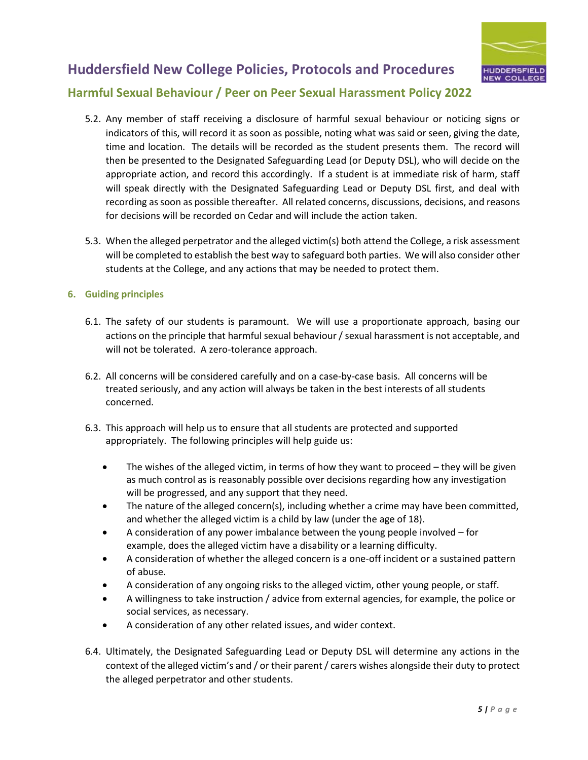

### **Harmful Sexual Behaviour / Peer on Peer Sexual Harassment Policy 2022**

- 5.2. Any member of staff receiving a disclosure of harmful sexual behaviour or noticing signs or indicators of this, will record it as soon as possible, noting what was said or seen, giving the date, time and location. The details will be recorded as the student presents them. The record will then be presented to the Designated Safeguarding Lead (or Deputy DSL), who will decide on the appropriate action, and record this accordingly. If a student is at immediate risk of harm, staff will speak directly with the Designated Safeguarding Lead or Deputy DSL first, and deal with recording as soon as possible thereafter. All related concerns, discussions, decisions, and reasons for decisions will be recorded on Cedar and will include the action taken.
- 5.3. When the alleged perpetrator and the alleged victim(s) both attend the College, a risk assessment will be completed to establish the best way to safeguard both parties. We will also consider other students at the College, and any actions that may be needed to protect them.

#### **6. Guiding principles**

- 6.1. The safety of our students is paramount. We will use a proportionate approach, basing our actions on the principle that harmful sexual behaviour / sexual harassment is not acceptable, and will not be tolerated. A zero-tolerance approach.
- 6.2. All concerns will be considered carefully and on a case-by-case basis. All concerns will be treated seriously, and any action will always be taken in the best interests of all students concerned.
- 6.3. This approach will help us to ensure that all students are protected and supported appropriately. The following principles will help guide us:
	- The wishes of the alleged victim, in terms of how they want to proceed they will be given as much control as is reasonably possible over decisions regarding how any investigation will be progressed, and any support that they need.
	- The nature of the alleged concern(s), including whether a crime may have been committed, and whether the alleged victim is a child by law (under the age of 18).
	- A consideration of any power imbalance between the young people involved for example, does the alleged victim have a disability or a learning difficulty.
	- A consideration of whether the alleged concern is a one-off incident or a sustained pattern of abuse.
	- A consideration of any ongoing risks to the alleged victim, other young people, or staff.
	- A willingness to take instruction / advice from external agencies, for example, the police or social services, as necessary.
	- A consideration of any other related issues, and wider context.
- 6.4. Ultimately, the Designated Safeguarding Lead or Deputy DSL will determine any actions in the context of the alleged victim's and / or their parent / carers wishes alongside their duty to protect the alleged perpetrator and other students.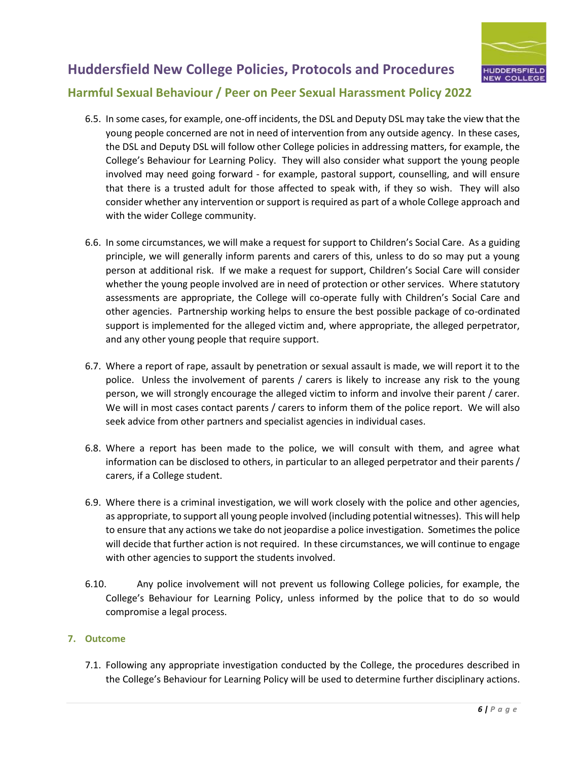

### **Harmful Sexual Behaviour / Peer on Peer Sexual Harassment Policy 2022**

- 6.5. In some cases, for example, one-off incidents, the DSL and Deputy DSL may take the view that the young people concerned are not in need of intervention from any outside agency. In these cases, the DSL and Deputy DSL will follow other College policies in addressing matters, for example, the College's Behaviour for Learning Policy. They will also consider what support the young people involved may need going forward - for example, pastoral support, counselling, and will ensure that there is a trusted adult for those affected to speak with, if they so wish. They will also consider whether any intervention or support is required as part of a whole College approach and with the wider College community.
- 6.6. In some circumstances, we will make a request for support to Children's Social Care. As a guiding principle, we will generally inform parents and carers of this, unless to do so may put a young person at additional risk. If we make a request for support, Children's Social Care will consider whether the young people involved are in need of protection or other services. Where statutory assessments are appropriate, the College will co-operate fully with Children's Social Care and other agencies. Partnership working helps to ensure the best possible package of co-ordinated support is implemented for the alleged victim and, where appropriate, the alleged perpetrator, and any other young people that require support.
- 6.7. Where a report of rape, assault by penetration or sexual assault is made, we will report it to the police. Unless the involvement of parents / carers is likely to increase any risk to the young person, we will strongly encourage the alleged victim to inform and involve their parent / carer. We will in most cases contact parents / carers to inform them of the police report. We will also seek advice from other partners and specialist agencies in individual cases.
- 6.8. Where a report has been made to the police, we will consult with them, and agree what information can be disclosed to others, in particular to an alleged perpetrator and their parents / carers, if a College student.
- 6.9. Where there is a criminal investigation, we will work closely with the police and other agencies, as appropriate, to support all young people involved (including potential witnesses). This will help to ensure that any actions we take do not jeopardise a police investigation. Sometimes the police will decide that further action is not required. In these circumstances, we will continue to engage with other agencies to support the students involved.
- 6.10. Any police involvement will not prevent us following College policies, for example, the College's Behaviour for Learning Policy, unless informed by the police that to do so would compromise a legal process.

### **7. Outcome**

7.1. Following any appropriate investigation conducted by the College, the procedures described in the College's Behaviour for Learning Policy will be used to determine further disciplinary actions.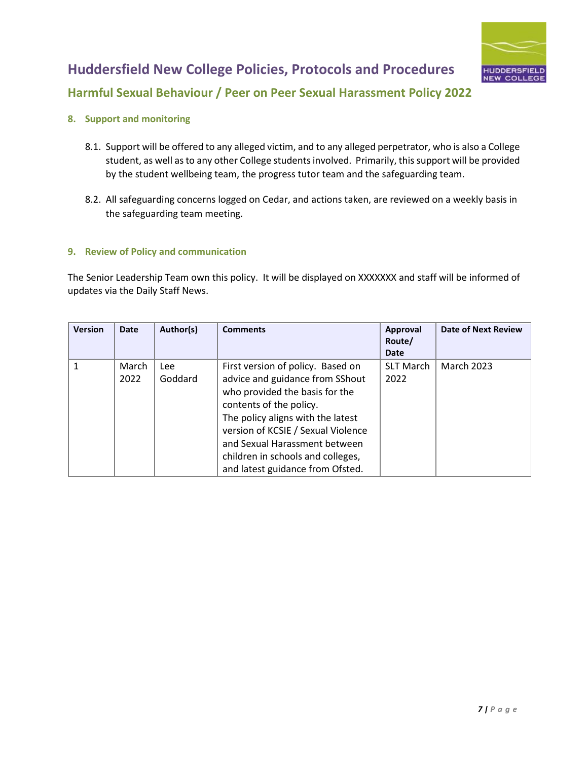

## **Harmful Sexual Behaviour / Peer on Peer Sexual Harassment Policy 2022**

- **8. Support and monitoring**
	- 8.1. Support will be offered to any alleged victim, and to any alleged perpetrator, who is also a College student, as well as to any other College students involved. Primarily, this support will be provided by the student wellbeing team, the progress tutor team and the safeguarding team.
	- 8.2. All safeguarding concerns logged on Cedar, and actions taken, are reviewed on a weekly basis in the safeguarding team meeting.

### **9. Review of Policy and communication**

The Senior Leadership Team own this policy. It will be displayed on XXXXXXX and staff will be informed of updates via the Daily Staff News.

| <b>Version</b> | Date          | Author(s)      | <b>Comments</b>                                                                                                                                                                                                                                                                                                        | Approval<br>Route/<br><b>Date</b> | <b>Date of Next Review</b> |
|----------------|---------------|----------------|------------------------------------------------------------------------------------------------------------------------------------------------------------------------------------------------------------------------------------------------------------------------------------------------------------------------|-----------------------------------|----------------------------|
| 1              | March<br>2022 | Lee<br>Goddard | First version of policy. Based on<br>advice and guidance from SShout<br>who provided the basis for the<br>contents of the policy.<br>The policy aligns with the latest<br>version of KCSIE / Sexual Violence<br>and Sexual Harassment between<br>children in schools and colleges,<br>and latest guidance from Ofsted. | <b>SLT March</b><br>2022          | <b>March 2023</b>          |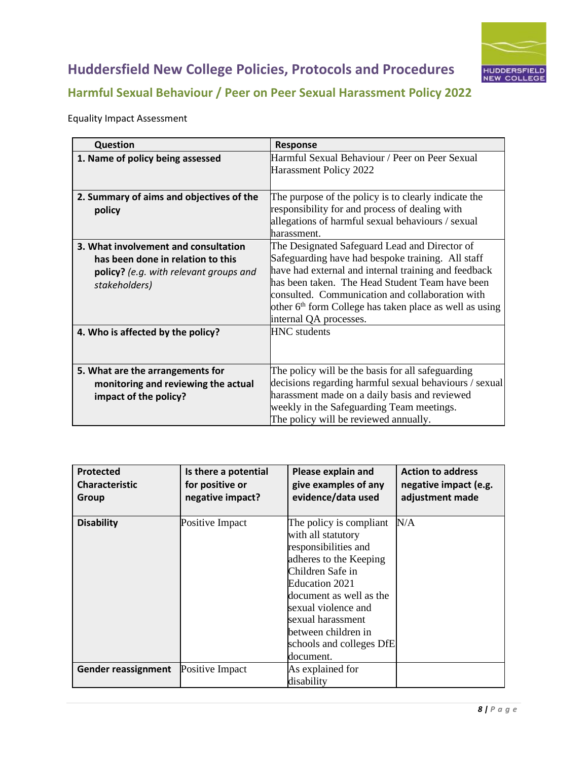

# **Harmful Sexual Behaviour / Peer on Peer Sexual Harassment Policy 2022**

### Equality Impact Assessment

| <b>Question</b>                               | <b>Response</b>                                                          |
|-----------------------------------------------|--------------------------------------------------------------------------|
| 1. Name of policy being assessed              | Harmful Sexual Behaviour / Peer on Peer Sexual<br>Harassment Policy 2022 |
|                                               |                                                                          |
| 2. Summary of aims and objectives of the      | The purpose of the policy is to clearly indicate the                     |
| policy                                        | responsibility for and process of dealing with                           |
|                                               | allegations of harmful sexual behaviours / sexual                        |
|                                               | lharassment.                                                             |
| 3. What involvement and consultation          | The Designated Safeguard Lead and Director of                            |
| has been done in relation to this             | Safeguarding have had bespoke training. All staff                        |
| <b>policy?</b> (e.g. with relevant groups and | have had external and internal training and feedback                     |
| stakeholders)                                 | has been taken. The Head Student Team have been                          |
|                                               | consulted. Communication and collaboration with                          |
|                                               | other 6 <sup>th</sup> form College has taken place as well as using      |
|                                               | internal QA processes.                                                   |
| 4. Who is affected by the policy?             | <b>HNC</b> students                                                      |
|                                               |                                                                          |
|                                               |                                                                          |
| 5. What are the arrangements for              | The policy will be the basis for all safeguarding                        |
| monitoring and reviewing the actual           | decisions regarding harmful sexual behaviours / sexual                   |
| impact of the policy?                         | harassment made on a daily basis and reviewed                            |
|                                               | weekly in the Safeguarding Team meetings.                                |
|                                               | The policy will be reviewed annually.                                    |

| <b>Protected</b><br><b>Characteristic</b><br>Group | Is there a potential<br>for positive or<br>negative impact? | Please explain and<br>give examples of any<br>evidence/data used                                                                                                                                                                                                             | <b>Action to address</b><br>negative impact (e.g.<br>adjustment made |
|----------------------------------------------------|-------------------------------------------------------------|------------------------------------------------------------------------------------------------------------------------------------------------------------------------------------------------------------------------------------------------------------------------------|----------------------------------------------------------------------|
| <b>Disability</b>                                  | Positive Impact                                             | The policy is compliant<br>with all statutory<br>responsibilities and<br>adheres to the Keeping<br>Children Safe in<br>Education 2021<br>document as well as the<br>sexual violence and<br>sexual harassment<br>between children in<br>schools and colleges DfE<br>document. | N/A                                                                  |
| Gender reassignment                                | Positive Impact                                             | As explained for<br>disability                                                                                                                                                                                                                                               |                                                                      |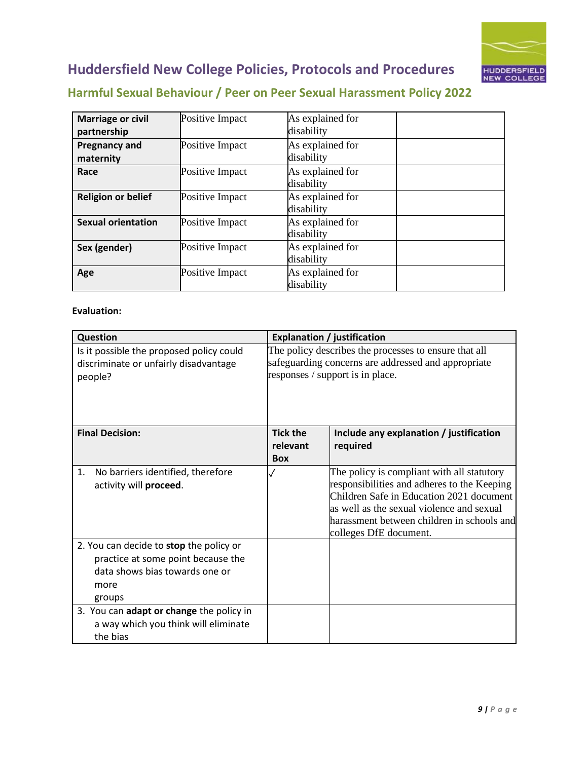

# **Harmful Sexual Behaviour / Peer on Peer Sexual Harassment Policy 2022**

| <b>Marriage or civil</b><br>partnership | Positive Impact | As explained for<br>disability |  |
|-----------------------------------------|-----------------|--------------------------------|--|
| <b>Pregnancy and</b><br>maternity       | Positive Impact | As explained for<br>disability |  |
| Race                                    | Positive Impact | As explained for<br>disability |  |
| <b>Religion or belief</b>               | Positive Impact | As explained for<br>disability |  |
| <b>Sexual orientation</b>               | Positive Impact | As explained for<br>disability |  |
| Sex (gender)                            | Positive Impact | As explained for<br>disability |  |
| Age                                     | Positive Impact | As explained for<br>disability |  |

#### **Evaluation:**

| Question                                                                                                                          |                                                                                                              | <b>Explanation / justification</b>                                                                                                                                                                                                                         |
|-----------------------------------------------------------------------------------------------------------------------------------|--------------------------------------------------------------------------------------------------------------|------------------------------------------------------------------------------------------------------------------------------------------------------------------------------------------------------------------------------------------------------------|
| Is it possible the proposed policy could<br>discriminate or unfairly disadvantage                                                 | The policy describes the processes to ensure that all<br>safeguarding concerns are addressed and appropriate |                                                                                                                                                                                                                                                            |
| people?                                                                                                                           |                                                                                                              | responses / support is in place.                                                                                                                                                                                                                           |
| <b>Final Decision:</b>                                                                                                            | <b>Tick the</b><br>relevant<br><b>Box</b>                                                                    | Include any explanation / justification<br>required                                                                                                                                                                                                        |
| No barriers identified, therefore<br>1.<br>activity will proceed.                                                                 |                                                                                                              | The policy is compliant with all statutory<br>responsibilities and adheres to the Keeping<br>Children Safe in Education 2021 document<br>as well as the sexual violence and sexual<br>harassment between children in schools and<br>colleges DfE document. |
| 2. You can decide to stop the policy or<br>practice at some point because the<br>data shows bias towards one or<br>more<br>groups |                                                                                                              |                                                                                                                                                                                                                                                            |
| 3. You can adapt or change the policy in<br>a way which you think will eliminate<br>the bias                                      |                                                                                                              |                                                                                                                                                                                                                                                            |